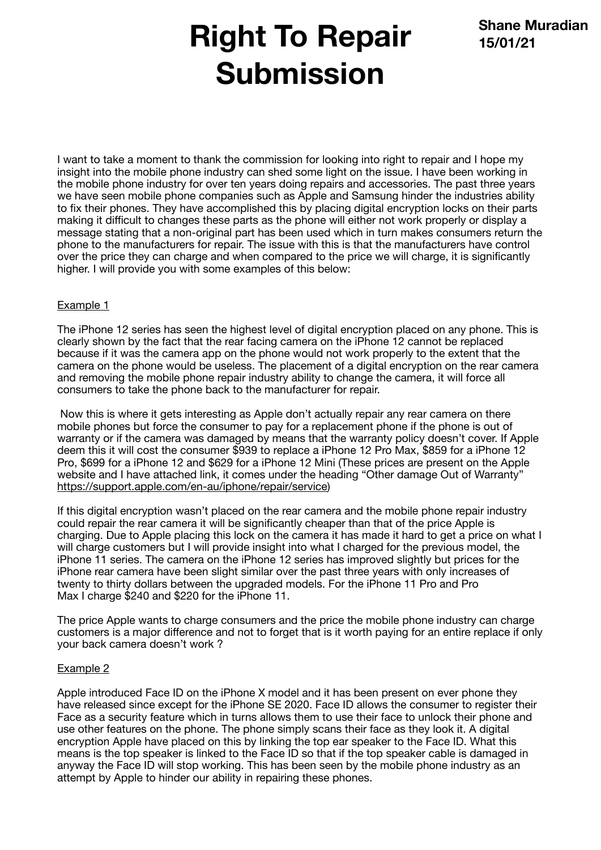## **Right To Repair Submission**

I want to take a moment to thank the commission for looking into right to repair and I hope my insight into the mobile phone industry can shed some light on the issue. I have been working in the mobile phone industry for over ten years doing repairs and accessories. The past three years we have seen mobile phone companies such as Apple and Samsung hinder the industries ability to fix their phones. They have accomplished this by placing digital encryption locks on their parts making it difficult to changes these parts as the phone will either not work properly or display a message stating that a non-original part has been used which in turn makes consumers return the phone to the manufacturers for repair. The issue with this is that the manufacturers have control over the price they can charge and when compared to the price we will charge, it is significantly higher. I will provide you with some examples of this below:

## Example 1

The iPhone 12 series has seen the highest level of digital encryption placed on any phone. This is clearly shown by the fact that the rear facing camera on the iPhone 12 cannot be replaced because if it was the camera app on the phone would not work properly to the extent that the camera on the phone would be useless. The placement of a digital encryption on the rear camera and removing the mobile phone repair industry ability to change the camera, it will force all consumers to take the phone back to the manufacturer for repair.

 Now this is where it gets interesting as Apple don't actually repair any rear camera on there mobile phones but force the consumer to pay for a replacement phone if the phone is out of warranty or if the camera was damaged by means that the warranty policy doesn't cover. If Apple deem this it will cost the consumer \$939 to replace a iPhone 12 Pro Max, \$859 for a iPhone 12 Pro, \$699 for a iPhone 12 and \$629 for a iPhone 12 Mini (These prices are present on the Apple website and I have attached link, it comes under the heading "Other damage Out of Warranty" <https://support.apple.com/en-au/iphone/repair/service>)

If this digital encryption wasn't placed on the rear camera and the mobile phone repair industry could repair the rear camera it will be significantly cheaper than that of the price Apple is charging. Due to Apple placing this lock on the camera it has made it hard to get a price on what I will charge customers but I will provide insight into what I charged for the previous model, the iPhone 11 series. The camera on the iPhone 12 series has improved slightly but prices for the iPhone rear camera have been slight similar over the past three years with only increases of twenty to thirty dollars between the upgraded models. For the iPhone 11 Pro and Pro Max I charge \$240 and \$220 for the iPhone 11.

The price Apple wants to charge consumers and the price the mobile phone industry can charge customers is a major difference and not to forget that is it worth paying for an entire replace if only your back camera doesn't work ?

## Example 2

Apple introduced Face ID on the iPhone X model and it has been present on ever phone they have released since except for the iPhone SE 2020. Face ID allows the consumer to register their Face as a security feature which in turns allows them to use their face to unlock their phone and use other features on the phone. The phone simply scans their face as they look it. A digital encryption Apple have placed on this by linking the top ear speaker to the Face ID. What this means is the top speaker is linked to the Face ID so that if the top speaker cable is damaged in anyway the Face ID will stop working. This has been seen by the mobile phone industry as an attempt by Apple to hinder our ability in repairing these phones.